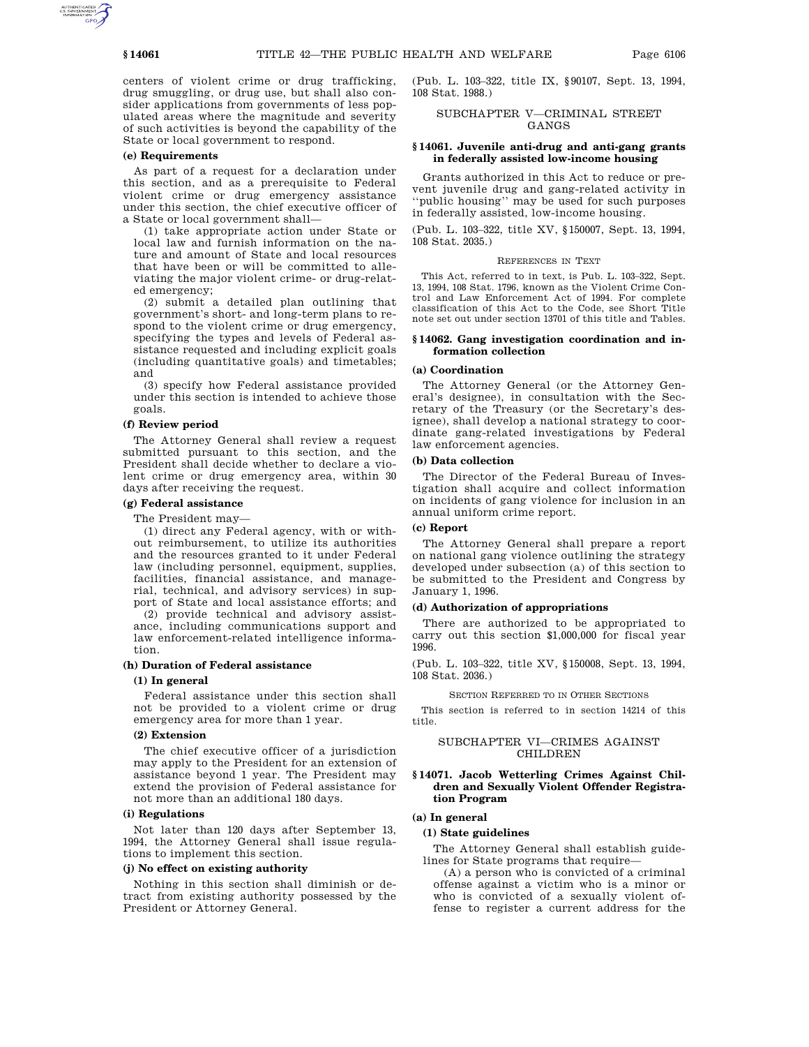centers of violent crime or drug trafficking, drug smuggling, or drug use, but shall also consider applications from governments of less populated areas where the magnitude and severity of such activities is beyond the capability of the State or local government to respond.

## **(e) Requirements**

As part of a request for a declaration under this section, and as a prerequisite to Federal violent crime or drug emergency assistance under this section, the chief executive officer of a State or local government shall—

(1) take appropriate action under State or local law and furnish information on the nature and amount of State and local resources that have been or will be committed to alleviating the major violent crime- or drug-related emergency;

(2) submit a detailed plan outlining that government's short- and long-term plans to respond to the violent crime or drug emergency, specifying the types and levels of Federal assistance requested and including explicit goals (including quantitative goals) and timetables; and

(3) specify how Federal assistance provided under this section is intended to achieve those goals.

#### **(f) Review period**

The Attorney General shall review a request submitted pursuant to this section, and the President shall decide whether to declare a violent crime or drug emergency area, within 30 days after receiving the request.

# **(g) Federal assistance**

The President may—

(1) direct any Federal agency, with or without reimbursement, to utilize its authorities and the resources granted to it under Federal law (including personnel, equipment, supplies, facilities, financial assistance, and managerial, technical, and advisory services) in support of State and local assistance efforts; and

(2) provide technical and advisory assistance, including communications support and law enforcement-related intelligence information.

#### **(h) Duration of Federal assistance**

#### **(1) In general**

Federal assistance under this section shall not be provided to a violent crime or drug emergency area for more than 1 year.

#### **(2) Extension**

The chief executive officer of a jurisdiction may apply to the President for an extension of assistance beyond 1 year. The President may extend the provision of Federal assistance for not more than an additional 180 days.

### **(i) Regulations**

Not later than 120 days after September 13, 1994, the Attorney General shall issue regulations to implement this section.

#### **(j) No effect on existing authority**

Nothing in this section shall diminish or detract from existing authority possessed by the President or Attorney General.

(Pub. L. 103–322, title IX, §90107, Sept. 13, 1994, 108 Stat. 1988.)

## SUBCHAPTER V—CRIMINAL STREET GANGS

# **§ 14061. Juvenile anti-drug and anti-gang grants in federally assisted low-income housing**

Grants authorized in this Act to reduce or prevent juvenile drug and gang-related activity in ''public housing'' may be used for such purposes in federally assisted, low-income housing.

(Pub. L. 103–322, title XV, §150007, Sept. 13, 1994, 108 Stat. 2035.)

#### REFERENCES IN TEXT

This Act, referred to in text, is Pub. L. 103–322, Sept. 13, 1994, 108 Stat. 1796, known as the Violent Crime Control and Law Enforcement Act of 1994. For complete classification of this Act to the Code, see Short Title note set out under section 13701 of this title and Tables.

### **§ 14062. Gang investigation coordination and information collection**

## **(a) Coordination**

The Attorney General (or the Attorney General's designee), in consultation with the Secretary of the Treasury (or the Secretary's designee), shall develop a national strategy to coordinate gang-related investigations by Federal law enforcement agencies.

#### **(b) Data collection**

The Director of the Federal Bureau of Investigation shall acquire and collect information on incidents of gang violence for inclusion in an annual uniform crime report.

## **(c) Report**

The Attorney General shall prepare a report on national gang violence outlining the strategy developed under subsection (a) of this section to be submitted to the President and Congress by January 1, 1996.

#### **(d) Authorization of appropriations**

There are authorized to be appropriated to carry out this section \$1,000,000 for fiscal year 1996.

(Pub. L. 103–322, title XV, §150008, Sept. 13, 1994, 108 Stat. 2036.)

SECTION REFERRED TO IN OTHER SECTIONS

This section is referred to in section 14214 of this title.

## SUBCHAPTER VI—CRIMES AGAINST CHILDREN

### **§ 14071. Jacob Wetterling Crimes Against Children and Sexually Violent Offender Registration Program**

#### **(a) In general**

#### **(1) State guidelines**

The Attorney General shall establish guidelines for State programs that require—

(A) a person who is convicted of a criminal offense against a victim who is a minor or who is convicted of a sexually violent offense to register a current address for the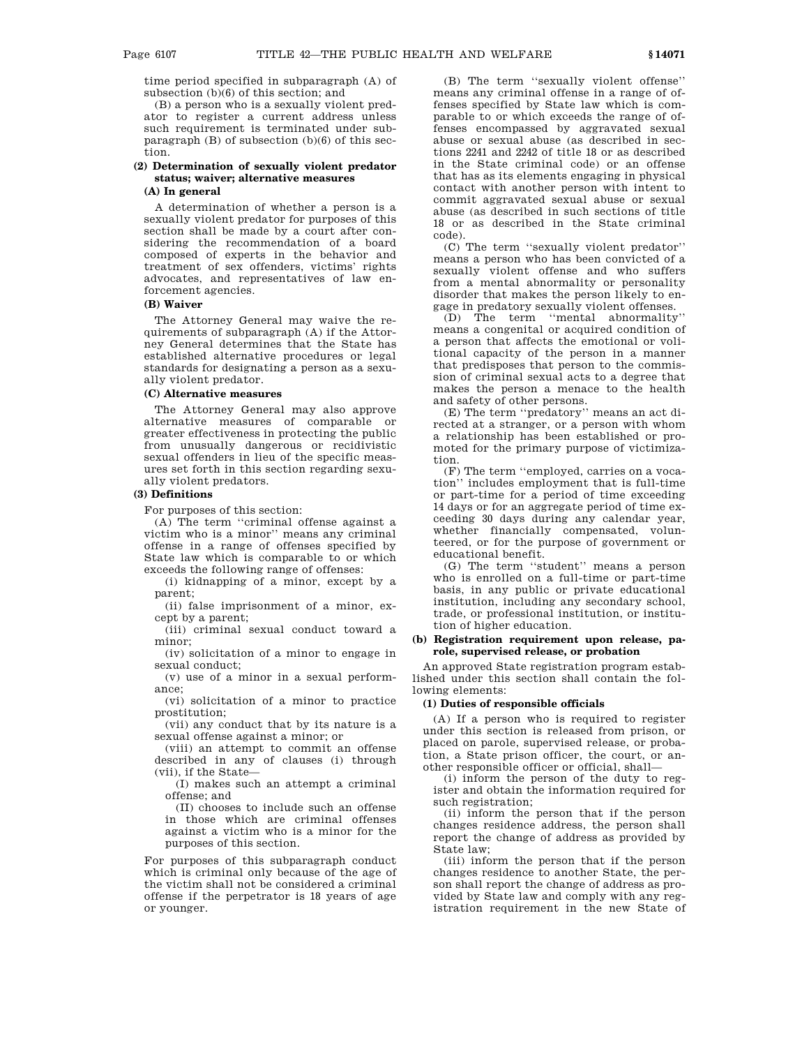time period specified in subparagraph (A) of subsection (b)(6) of this section; and

(B) a person who is a sexually violent predator to register a current address unless such requirement is terminated under subparagraph  $(B)$  of subsection  $(b)(6)$  of this section.

# **(2) Determination of sexually violent predator status; waiver; alternative measures**

## **(A) In general**

A determination of whether a person is a sexually violent predator for purposes of this section shall be made by a court after considering the recommendation of a board composed of experts in the behavior and treatment of sex offenders, victims' rights advocates, and representatives of law enforcement agencies.

# **(B) Waiver**

The Attorney General may waive the requirements of subparagraph (A) if the Attorney General determines that the State has established alternative procedures or legal standards for designating a person as a sexually violent predator.

### **(C) Alternative measures**

The Attorney General may also approve alternative measures of comparable or greater effectiveness in protecting the public from unusually dangerous or recidivistic sexual offenders in lieu of the specific measures set forth in this section regarding sexually violent predators.

#### **(3) Definitions**

For purposes of this section:

(A) The term ''criminal offense against a victim who is a minor'' means any criminal offense in a range of offenses specified by State law which is comparable to or which exceeds the following range of offenses:

(i) kidnapping of a minor, except by a parent;

(ii) false imprisonment of a minor, except by a parent;

(iii) criminal sexual conduct toward a minor;

(iv) solicitation of a minor to engage in sexual conduct;

(v) use of a minor in a sexual performance;

(vi) solicitation of a minor to practice prostitution;

(vii) any conduct that by its nature is a sexual offense against a minor; or

(viii) an attempt to commit an offense described in any of clauses (i) through (vii), if the State—

(I) makes such an attempt a criminal offense; and

(II) chooses to include such an offense in those which are criminal offenses against a victim who is a minor for the purposes of this section.

For purposes of this subparagraph conduct which is criminal only because of the age of the victim shall not be considered a criminal offense if the perpetrator is 18 years of age or younger.

(B) The term ''sexually violent offense'' means any criminal offense in a range of offenses specified by State law which is comparable to or which exceeds the range of offenses encompassed by aggravated sexual abuse or sexual abuse (as described in sections 2241 and 2242 of title 18 or as described in the State criminal code) or an offense that has as its elements engaging in physical contact with another person with intent to commit aggravated sexual abuse or sexual abuse (as described in such sections of title 18 or as described in the State criminal code).

(C) The term ''sexually violent predator'' means a person who has been convicted of a sexually violent offense and who suffers from a mental abnormality or personality disorder that makes the person likely to engage in predatory sexually violent offenses.

(D) The term ''mental abnormality'' means a congenital or acquired condition of a person that affects the emotional or volitional capacity of the person in a manner that predisposes that person to the commission of criminal sexual acts to a degree that makes the person a menace to the health and safety of other persons.

(E) The term ''predatory'' means an act directed at a stranger, or a person with whom a relationship has been established or promoted for the primary purpose of victimization.

(F) The term ''employed, carries on a vocation'' includes employment that is full-time or part-time for a period of time exceeding 14 days or for an aggregate period of time exceeding 30 days during any calendar year, whether financially compensated, volunteered, or for the purpose of government or educational benefit.

(G) The term ''student'' means a person who is enrolled on a full-time or part-time basis, in any public or private educational institution, including any secondary school, trade, or professional institution, or institution of higher education.

# **(b) Registration requirement upon release, parole, supervised release, or probation**

An approved State registration program established under this section shall contain the following elements:

# **(1) Duties of responsible officials**

(A) If a person who is required to register under this section is released from prison, or placed on parole, supervised release, or probation, a State prison officer, the court, or another responsible officer or official, shall—

(i) inform the person of the duty to register and obtain the information required for such registration;

(ii) inform the person that if the person changes residence address, the person shall report the change of address as provided by State law;

(iii) inform the person that if the person changes residence to another State, the person shall report the change of address as provided by State law and comply with any registration requirement in the new State of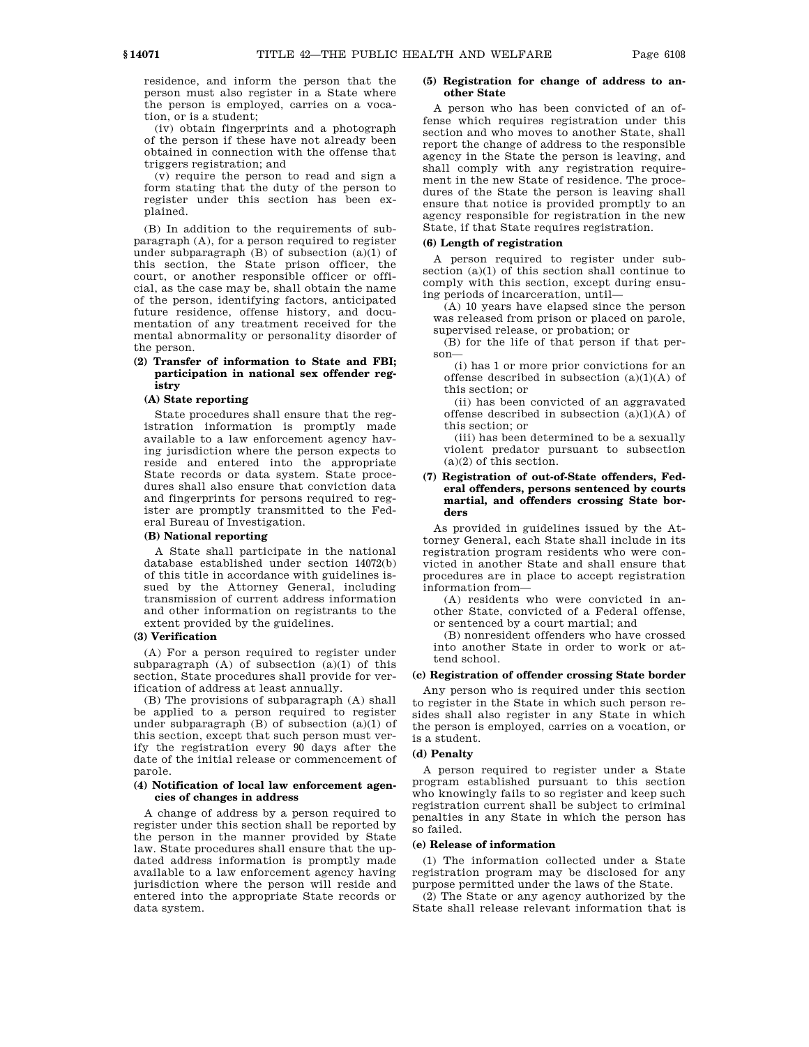residence, and inform the person that the person must also register in a State where the person is employed, carries on a vocation, or is a student;

(iv) obtain fingerprints and a photograph of the person if these have not already been obtained in connection with the offense that triggers registration; and

(v) require the person to read and sign a form stating that the duty of the person to register under this section has been explained.

(B) In addition to the requirements of subparagraph (A), for a person required to register under subparagraph (B) of subsection (a)(1) of this section, the State prison officer, the court, or another responsible officer or official, as the case may be, shall obtain the name of the person, identifying factors, anticipated future residence, offense history, and documentation of any treatment received for the mental abnormality or personality disorder of the person.

# **(2) Transfer of information to State and FBI; participation in national sex offender registry**

# **(A) State reporting**

State procedures shall ensure that the registration information is promptly made available to a law enforcement agency having jurisdiction where the person expects to reside and entered into the appropriate State records or data system. State procedures shall also ensure that conviction data and fingerprints for persons required to register are promptly transmitted to the Federal Bureau of Investigation.

#### **(B) National reporting**

A State shall participate in the national database established under section 14072(b) of this title in accordance with guidelines issued by the Attorney General, including transmission of current address information and other information on registrants to the extent provided by the guidelines.

#### **(3) Verification**

(A) For a person required to register under subparagraph  $(A)$  of subsection  $(a)(1)$  of this section, State procedures shall provide for verification of address at least annually.

(B) The provisions of subparagraph (A) shall be applied to a person required to register under subparagraph (B) of subsection (a)(1) of this section, except that such person must verify the registration every 90 days after the date of the initial release or commencement of parole.

# **(4) Notification of local law enforcement agencies of changes in address**

A change of address by a person required to register under this section shall be reported by the person in the manner provided by State law. State procedures shall ensure that the updated address information is promptly made available to a law enforcement agency having jurisdiction where the person will reside and entered into the appropriate State records or data system.

### **(5) Registration for change of address to another State**

A person who has been convicted of an offense which requires registration under this section and who moves to another State, shall report the change of address to the responsible agency in the State the person is leaving, and shall comply with any registration requirement in the new State of residence. The procedures of the State the person is leaving shall ensure that notice is provided promptly to an agency responsible for registration in the new State, if that State requires registration.

#### **(6) Length of registration**

A person required to register under subsection (a)(1) of this section shall continue to comply with this section, except during ensuing periods of incarceration, until—

(A) 10 years have elapsed since the person was released from prison or placed on parole, supervised release, or probation; or

(B) for the life of that person if that person—

(i) has 1 or more prior convictions for an offense described in subsection  $(a)(1)(A)$  of this section; or

(ii) has been convicted of an aggravated offense described in subsection  $(a)(1)(A)$  of this section; or

(iii) has been determined to be a sexually violent predator pursuant to subsection  $(a)(2)$  of this section.

# **(7) Registration of out-of-State offenders, Federal offenders, persons sentenced by courts martial, and offenders crossing State borders**

As provided in guidelines issued by the Attorney General, each State shall include in its registration program residents who were convicted in another State and shall ensure that procedures are in place to accept registration information from—

(A) residents who were convicted in another State, convicted of a Federal offense, or sentenced by a court martial; and

(B) nonresident offenders who have crossed into another State in order to work or attend school.

# **(c) Registration of offender crossing State border**

Any person who is required under this section to register in the State in which such person resides shall also register in any State in which the person is employed, carries on a vocation, or is a student.

## **(d) Penalty**

A person required to register under a State program established pursuant to this section who knowingly fails to so register and keep such registration current shall be subject to criminal penalties in any State in which the person has so failed.

# **(e) Release of information**

(1) The information collected under a State registration program may be disclosed for any purpose permitted under the laws of the State.

(2) The State or any agency authorized by the State shall release relevant information that is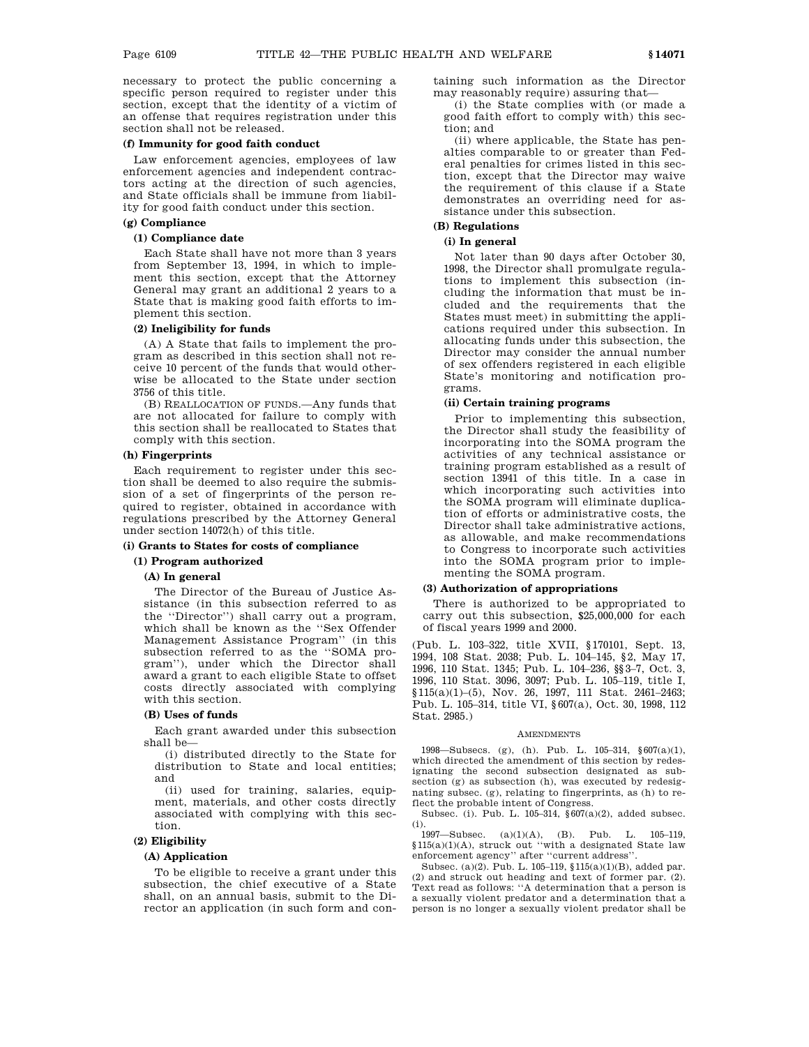necessary to protect the public concerning a specific person required to register under this section, except that the identity of a victim of an offense that requires registration under this section shall not be released.

# **(f) Immunity for good faith conduct**

Law enforcement agencies, employees of law enforcement agencies and independent contractors acting at the direction of such agencies, and State officials shall be immune from liability for good faith conduct under this section.

# **(g) Compliance**

# **(1) Compliance date**

Each State shall have not more than 3 years from September 13, 1994, in which to implement this section, except that the Attorney General may grant an additional 2 years to a State that is making good faith efforts to implement this section.

## **(2) Ineligibility for funds**

(A) A State that fails to implement the program as described in this section shall not receive 10 percent of the funds that would otherwise be allocated to the State under section 3756 of this title.

(B) REALLOCATION OF FUNDS.—Any funds that are not allocated for failure to comply with this section shall be reallocated to States that comply with this section.

# **(h) Fingerprints**

Each requirement to register under this section shall be deemed to also require the submission of a set of fingerprints of the person required to register, obtained in accordance with regulations prescribed by the Attorney General under section 14072(h) of this title.

# **(i) Grants to States for costs of compliance**

# **(1) Program authorized**

# **(A) In general**

The Director of the Bureau of Justice Assistance (in this subsection referred to as the ''Director'') shall carry out a program, which shall be known as the ''Sex Offender Management Assistance Program'' (in this subsection referred to as the ''SOMA program''), under which the Director shall award a grant to each eligible State to offset costs directly associated with complying with this section.

#### **(B) Uses of funds**

Each grant awarded under this subsection shall be—

(i) distributed directly to the State for distribution to State and local entities; and

(ii) used for training, salaries, equipment, materials, and other costs directly associated with complying with this section.

## **(2) Eligibility**

# **(A) Application**

To be eligible to receive a grant under this subsection, the chief executive of a State shall, on an annual basis, submit to the Director an application (in such form and containing such information as the Director may reasonably require) assuring that—

(i) the State complies with (or made a good faith effort to comply with) this section; and

(ii) where applicable, the State has penalties comparable to or greater than Federal penalties for crimes listed in this section, except that the Director may waive the requirement of this clause if a State demonstrates an overriding need for assistance under this subsection.

# **(B) Regulations**

# **(i) In general**

Not later than 90 days after October 30, 1998, the Director shall promulgate regulations to implement this subsection (including the information that must be included and the requirements that the States must meet) in submitting the applications required under this subsection. In allocating funds under this subsection, the Director may consider the annual number of sex offenders registered in each eligible State's monitoring and notification programs.

# **(ii) Certain training programs**

Prior to implementing this subsection, the Director shall study the feasibility of incorporating into the SOMA program the activities of any technical assistance or training program established as a result of section 13941 of this title. In a case in which incorporating such activities into the SOMA program will eliminate duplication of efforts or administrative costs, the Director shall take administrative actions, as allowable, and make recommendations to Congress to incorporate such activities into the SOMA program prior to implementing the SOMA program.

#### **(3) Authorization of appropriations**

There is authorized to be appropriated to carry out this subsection, \$25,000,000 for each of fiscal years 1999 and 2000.

(Pub. L. 103–322, title XVII, §170101, Sept. 13, 1994, 108 Stat. 2038; Pub. L. 104–145, §2, May 17, 1996, 110 Stat. 1345; Pub. L. 104–236, §§3–7, Oct. 3, 1996, 110 Stat. 3096, 3097; Pub. L. 105–119, title I, §115(a)(1)–(5), Nov. 26, 1997, 111 Stat. 2461–2463; Pub. L. 105–314, title VI, §607(a), Oct. 30, 1998, 112 Stat. 2985.)

#### **AMENDMENTS**

1998—Subsecs. (g), (h). Pub. L. 105–314, §607(a)(1), which directed the amendment of this section by redesignating the second subsection designated as subsection (g) as subsection (h), was executed by redesignating subsec. (g), relating to fingerprints, as (h) to reflect the probable intent of Congress.

Subsec. (i). Pub. L. 105–314, §607(a)(2), added subsec. (i).

1997—Subsec. (a)(1)(A), (B). Pub. L. 105–119,  $$115(a)(1)(A)$ , struck out "with a designated State law enforcement agency'' after ''current address''.

Subsec. (a)(2). Pub. L. 105–119, §115(a)(1)(B), added par. (2) and struck out heading and text of former par. (2). Text read as follows: ''A determination that a person is a sexually violent predator and a determination that a person is no longer a sexually violent predator shall be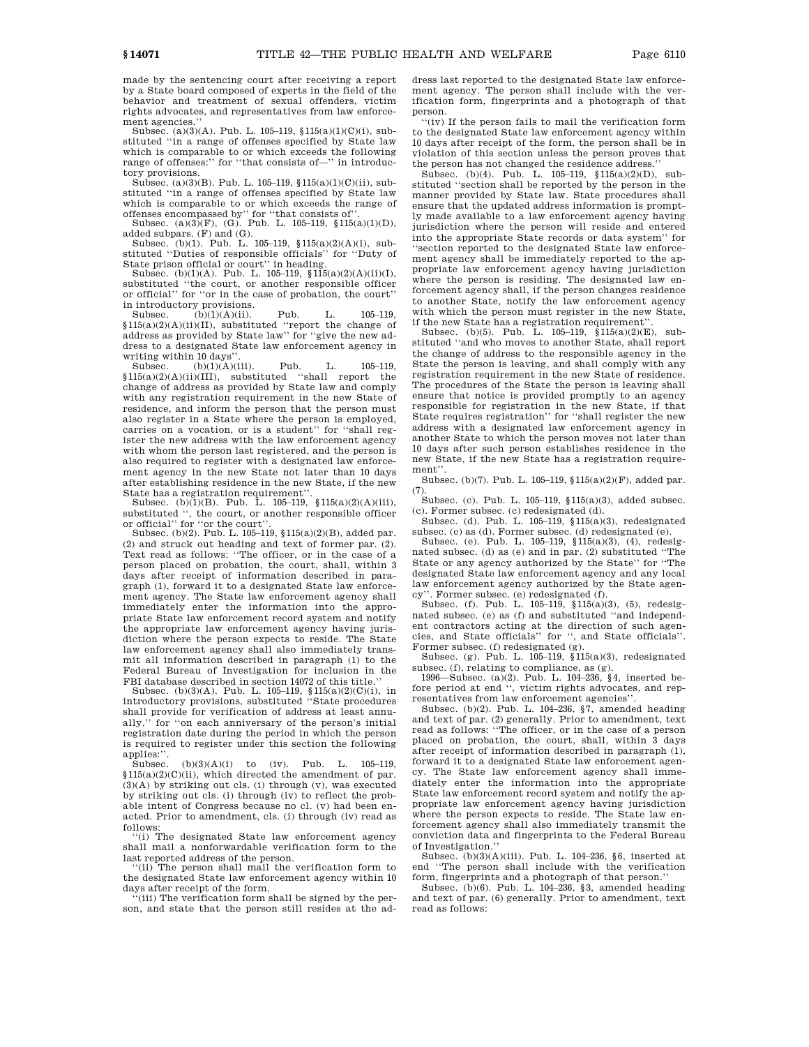made by the sentencing court after receiving a report by a State board composed of experts in the field of the behavior and treatment of sexual offenders, victim rights advocates, and representatives from law enforcement agencies.''

Subsec. (a)(3)(A). Pub. L. 105–119,  $$115(a)(1)(C)(i)$ , substituted "in a range of offenses specified by State law which is comparable to or which exceeds the following range of offenses:'' for ''that consists of—'' in introductory provisions.

Subsec. (a)(3)(B). Pub. L. 105–119, §115(a)(1)(C)(ii), substituted ''in a range of offenses specified by State law which is comparable to or which exceeds the range of offenses encompassed by'' for ''that consists of''.

Subsec. (a)(3)(F), (G). Pub. L. 105-119,  $$115(a)(1)(D)$ , added subpars.  $(\mathcal{F})$  and  $(\mathcal{G}).$ 

Subsec. (b)(1). Pub. L. 105–119, §115(a)(2)(A)(i), sub-stituted ''Duties of responsible officials'' for ''Duty of

State prison official or court'' in heading.<br>Subsec. (b)(1)(A). Pub. L. 105–119, §115(a)(2)(A)(ii)(I), substituted "the court, or another responsible officer or official'' for ''or in the case of probation, the court'' in introductory provisions.

Subsec. (b)(1)(A)(ii). Pub. L. 105–119,  $$115(a)(2)(A)(ii)(II)$ , substituted "report the change of address as provided by State law'' for ''give the new address to a designated State law enforcement agency in

writing within 10 days".<br>Subsec.  $(b)(1)(A)(iii)$ . Subsec.  $(b)(1)(A)(iii)$ . Pub. L.  $105-119$ , §115(a)(2)(A)(ii)(III), substituted ''shall report the change of address as provided by State law and comply with any registration requirement in the new State of residence, and inform the person that the person must also register in a State where the person is employed, carries on a vocation, or is a student'' for ''shall register the new address with the law enforcement agency with whom the person last registered, and the person is also required to register with a designated law enforcement agency in the new State not later than 10 days after establishing residence in the new State, if the new

State has a registration requirement".<br>Subsec. (b)(1)(B). Pub. L. 105–119, §115(a)(2)(A)(iii), substituted '', the court, or another responsible officer or official" for "or the court"

Subsec. (b)(2). Pub. L. 105–119,  $$115(a)(2)(B)$ , added par. (2) and struck out heading and text of former par. (2). Text read as follows: ''The officer, or in the case of a person placed on probation, the court, shall, within 3 days after receipt of information described in paragraph (1), forward it to a designated State law enforcement agency. The State law enforcement agency shall immediately enter the information into the appropriate State law enforcement record system and notify the appropriate law enforcement agency having jurisdiction where the person expects to reside. The State law enforcement agency shall also immediately transmit all information described in paragraph (1) to the Federal Bureau of Investigation for inclusion in the

FBI database described in section 14072 of this title.'' Subsec. (b)(3)(A). Pub. L. 105–119, §115(a)(2)(C)(i), in introductory provisions, substituted ''State procedures shall provide for verification of address at least annually.'' for ''on each anniversary of the person's initial registration date during the period in which the person is required to register under this section the following applies:''.

 $(b)(3)(A)(i)$  to (iv). Pub. L. 105–119. §115(a)(2)(C)(ii), which directed the amendment of par. (3)(A) by striking out cls. (i) through (v), was executed by striking out cls. (i) through (iv) to reflect the probable intent of Congress because no cl. (v) had been enacted. Prior to amendment, cls. (i) through (iv) read as follows:

(i) The designated State law enforcement agency shall mail a nonforwardable verification form to the last reported address of the person.

'(ii) The person shall mail the verification form to the designated State law enforcement agency within 10 days after receipt of the form.

 $(iii)$  The verification form shall be signed by the person, and state that the person still resides at the address last reported to the designated State law enforcement agency. The person shall include with the verification form, fingerprints and a photograph of that person.

''(iv) If the person fails to mail the verification form to the designated State law enforcement agency within 10 days after receipt of the form, the person shall be in violation of this section unless the person proves that the person has not changed the residence address.''

Subsec. (b)(4). Pub. L. 105–119, §115(a)(2)(D), substituted ''section shall be reported by the person in the manner provided by State law. State procedures shall ensure that the updated address information is promptly made available to a law enforcement agency having jurisdiction where the person will reside and entered into the appropriate State records or data system'' for ''section reported to the designated State law enforcement agency shall be immediately reported to the appropriate law enforcement agency having jurisdiction where the person is residing. The designated law enforcement agency shall, if the person changes residence to another State, notify the law enforcement agency with which the person must register in the new State, if the new State has a registration requirement''.

Subsec. (b)(5). Pub. L. 105–119,  $\sinh(2)(E)$ , substituted ''and who moves to another State, shall report the change of address to the responsible agency in the State the person is leaving, and shall comply with any registration requirement in the new State of residence. The procedures of the State the person is leaving shall ensure that notice is provided promptly to an agency responsible for registration in the new State, if that State requires registration'' for ''shall register the new address with a designated law enforcement agency in another State to which the person moves not later than 10 days after such person establishes residence in the new State, if the new State has a registration requirement''.

Subsec. (b)(7). Pub. L. 105–119, §115(a)(2)(F), added par. (7).

Subsec. (c). Pub. L. 105–119, §115(a)(3), added subsec. (c). Former subsec. (c) redesignated (d).

Subsec. (d). Pub. L. 105–119, §115(a)(3), redesignated subsec. (c) as (d). Former subsec. (d) redesignated (e).

Subsec. (e). Pub. L. 105–119, §115(a)(3), (4), redesignated subsec. (d) as (e) and in par. (2) substituted ''The State or any agency authorized by the State'' for ''The designated State law enforcement agency and any local law enforcement agency authorized by the State agen-

cy''. Former subsec. (e) redesignated (f). Subsec. (f). Pub. L. 105–119, §115(a)(3), (5), redesignated subsec. (e) as (f) and substituted ''and independent contractors acting at the direction of such agencies, and State officials'' for '', and State officials''. Former subsec. (f) redesignated (g).

Subsec. (g). Pub. L.  $105-119$ ,  $\widetilde{$}115(a)(3)$ , redesignated subsec. (f), relating to compliance, as (g).

1996—Subsec. (a)(2). Pub. L. 104–236, §4, inserted before period at end '', victim rights advocates, and representatives from law enforcement agencies''.

Subsec. (b)(2). Pub. L. 104–236, §7, amended heading and text of par. (2) generally. Prior to amendment, text read as follows: ''The officer, or in the case of a person placed on probation, the court, shall, within 3 days after receipt of information described in paragraph (1), forward it to a designated State law enforcement agency. The State law enforcement agency shall immediately enter the information into the appropriate State law enforcement record system and notify the appropriate law enforcement agency having jurisdiction where the person expects to reside. The State law enforcement agency shall also immediately transmit the conviction data and fingerprints to the Federal Bureau of Investigation.''

Subsec. (b)(3)(A)(iii). Pub. L. 104–236, §6, inserted at end ''The person shall include with the verification form, fingerprints and a photograph of that person.''

Subsec. (b)(6). Pub. L. 104–236, §3, amended heading and text of par. (6) generally. Prior to amendment, text read as follows: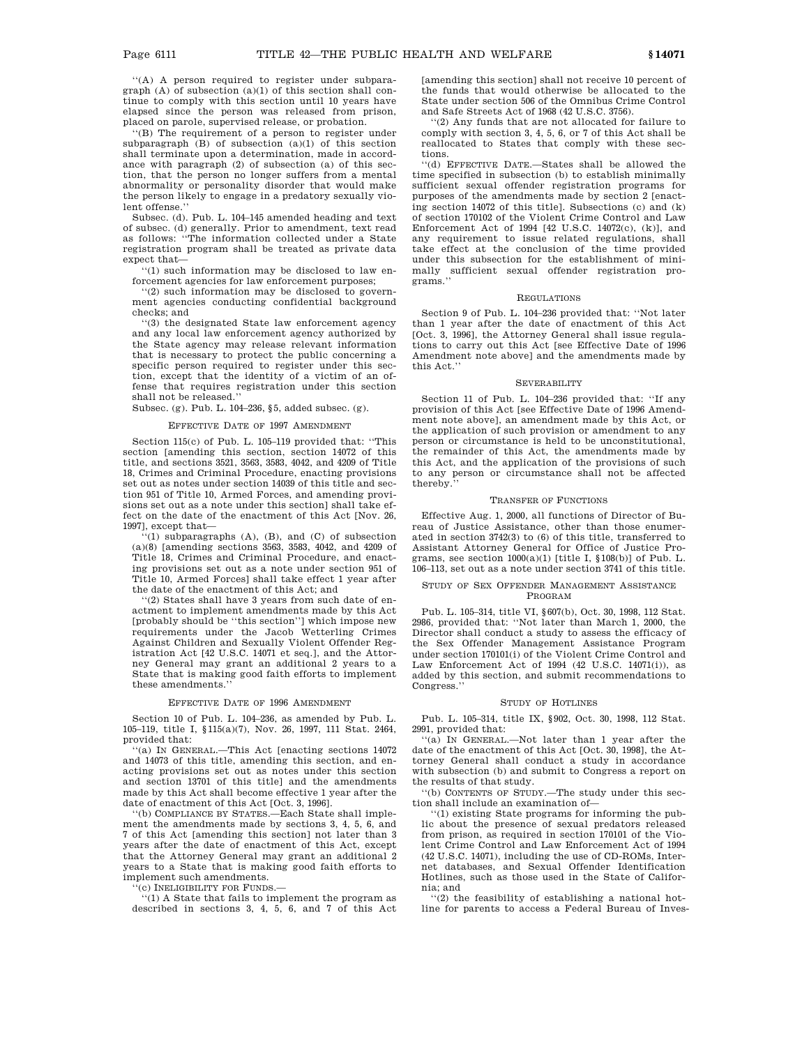''(A) A person required to register under subparagraph (A) of subsection (a)(1) of this section shall continue to comply with this section until 10 years have elapsed since the person was released from prison, placed on parole, supervised release, or probation.

'(B) The requirement of a person to register under subparagraph  $(B)$  of subsection  $(a)(1)$  of this section shall terminate upon a determination, made in accordance with paragraph (2) of subsection (a) of this section, that the person no longer suffers from a mental abnormality or personality disorder that would make the person likely to engage in a predatory sexually violent offense.''

Subsec. (d). Pub. L. 104–145 amended heading and text of subsec. (d) generally. Prior to amendment, text read as follows: ''The information collected under a State registration program shall be treated as private data expect that—

''(1) such information may be disclosed to law enforcement agencies for law enforcement purposes;

''(2) such information may be disclosed to government agencies conducting confidential background checks; and

''(3) the designated State law enforcement agency and any local law enforcement agency authorized by the State agency may release relevant information that is necessary to protect the public concerning a specific person required to register under this section, except that the identity of a victim of an offense that requires registration under this section shall not be released.''

Subsec. (g). Pub. L. 104–236, §5, added subsec. (g).

#### EFFECTIVE DATE OF 1997 AMENDMENT

Section 115(c) of Pub. L. 105–119 provided that: ''This section [amending this section, section 14072 of this title, and sections 3521, 3563, 3583, 4042, and 4209 of Title 18, Crimes and Criminal Procedure, enacting provisions set out as notes under section 14039 of this title and section 951 of Title 10, Armed Forces, and amending provisions set out as a note under this section] shall take effect on the date of the enactment of this Act [Nov. 26, 1997], except that—

 $\cdot$ <sup>"(1)</sup> subparagraphs (A), (B), and (C) of subsection (a)(8) [amending sections 3563, 3583, 4042, and 4209 of Title 18, Crimes and Criminal Procedure, and enacting provisions set out as a note under section 951 of Title 10, Armed Forces] shall take effect 1 year after the date of the enactment of this Act; and

''(2) States shall have 3 years from such date of enactment to implement amendments made by this Act [probably should be ''this section''] which impose new requirements under the Jacob Wetterling Crimes Against Children and Sexually Violent Offender Registration Act [42 U.S.C. 14071 et seq.], and the Attorney General may grant an additional 2 years to a State that is making good faith efforts to implement these amendments.''

#### EFFECTIVE DATE OF 1996 AMENDMENT

Section 10 of Pub. L. 104–236, as amended by Pub. L. 105–119, title I, §115(a)(7), Nov. 26, 1997, 111 Stat. 2464, provided that:

''(a) IN GENERAL.—This Act [enacting sections 14072 and 14073 of this title, amending this section, and enacting provisions set out as notes under this section and section 13701 of this title] and the amendments made by this Act shall become effective 1 year after the date of enactment of this Act [Oct. 3, 1996].

''(b) COMPLIANCE BY STATES.—Each State shall implement the amendments made by sections 3, 4, 5, 6, and 7 of this Act [amending this section] not later than 3 years after the date of enactment of this Act, except that the Attorney General may grant an additional 2 years to a State that is making good faith efforts to implement such amendments.

(c) INELIGIBILITY FOR FUNDS.

''(1) A State that fails to implement the program as described in sections 3, 4, 5, 6, and 7 of this Act [amending this section] shall not receive 10 percent of the funds that would otherwise be allocated to the State under section 506 of the Omnibus Crime Control and Safe Streets Act of 1968 (42 U.S.C. 3756).

''(2) Any funds that are not allocated for failure to comply with section 3, 4, 5, 6, or 7 of this Act shall be reallocated to States that comply with these sections.

''(d) EFFECTIVE DATE.—States shall be allowed the time specified in subsection (b) to establish minimally sufficient sexual offender registration programs for purposes of the amendments made by section 2 [enacting section 14072 of this title]. Subsections (c) and (k) of section 170102 of the Violent Crime Control and Law Enforcement Act of 1994 [42 U.S.C. 14072(c), (k)], and any requirement to issue related regulations, shall take effect at the conclusion of the time provided under this subsection for the establishment of minimally sufficient sexual offender registration programs.''

#### REGULATIONS

Section 9 of Pub. L. 104–236 provided that: ''Not later than 1 year after the date of enactment of this Act [Oct. 3, 1996], the Attorney General shall issue regulations to carry out this Act [see Effective Date of 1996 Amendment note above] and the amendments made by this Act.''

#### **SEVERABILITY**

Section 11 of Pub. L. 104–236 provided that: ''If any provision of this Act [see Effective Date of 1996 Amendment note above], an amendment made by this Act, or the application of such provision or amendment to any person or circumstance is held to be unconstitutional, the remainder of this Act, the amendments made by this Act, and the application of the provisions of such to any person or circumstance shall not be affected thereby.''

#### TRANSFER OF FUNCTIONS

Effective Aug. 1, 2000, all functions of Director of Bureau of Justice Assistance, other than those enumerated in section 3742(3) to (6) of this title, transferred to Assistant Attorney General for Office of Justice Programs, see section  $1000(a)(1)$  [title I, §108(b)] of Pub. L. 106–113, set out as a note under section 3741 of this title.

#### STUDY OF SEX OFFENDER MANAGEMENT ASSISTANCE PROGRAM

Pub. L. 105–314, title VI, §607(b), Oct. 30, 1998, 112 Stat. 2986, provided that: ''Not later than March 1, 2000, the Director shall conduct a study to assess the efficacy of the Sex Offender Management Assistance Program under section 170101(i) of the Violent Crime Control and Law Enforcement Act of 1994 (42 U.S.C. 14071(i)), as added by this section, and submit recommendations to Congress.

#### STUDY OF HOTLINES

Pub. L. 105–314, title IX, §902, Oct. 30, 1998, 112 Stat. 2991, provided that:

''(a) IN GENERAL.—Not later than 1 year after the date of the enactment of this Act [Oct. 30, 1998], the Attorney General shall conduct a study in accordance with subsection (b) and submit to Congress a report on the results of that study.

''(b) CONTENTS OF STUDY.—The study under this section shall include an examination of—

''(1) existing State programs for informing the public about the presence of sexual predators released from prison, as required in section 170101 of the Violent Crime Control and Law Enforcement Act of 1994 (42 U.S.C. 14071), including the use of CD-ROMs, Internet databases, and Sexual Offender Identification Hotlines, such as those used in the State of California; and

''(2) the feasibility of establishing a national hotline for parents to access a Federal Bureau of Inves